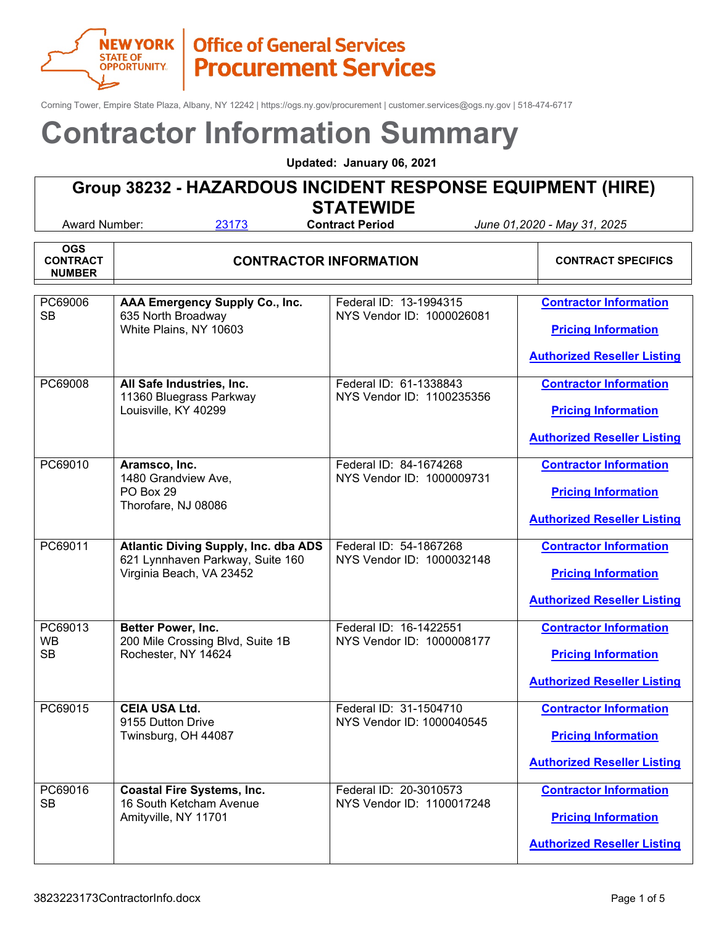

Corning Tower, Empire State Plaza, Albany, NY 12242 | https://ogs.ny.gov/procurement | customer.services@ogs.ny.gov | 518-474-6717

# **Contractor Information Summary**

**Updated: January 06, 2021**

# **Group 38232 - HAZARDOUS INCIDENT RESPONSE EQUIPMENT (HIRE)**

┱

**STATEWIDE**<br>Contract Period

| <b>OGS</b><br><b>CONTRACT</b><br><b>NUMBER</b> | <b>CONTRACTOR INFORMATION</b>                                                                               |                                                     | <b>CONTRACT SPECIFICS</b>                                                                         |
|------------------------------------------------|-------------------------------------------------------------------------------------------------------------|-----------------------------------------------------|---------------------------------------------------------------------------------------------------|
| PC69006<br><b>SB</b>                           | AAA Emergency Supply Co., Inc.<br>635 North Broadway<br>White Plains, NY 10603                              | Federal ID: 13-1994315<br>NYS Vendor ID: 1000026081 | <b>Contractor Information</b><br><b>Pricing Information</b><br><b>Authorized Reseller Listing</b> |
| PC69008                                        | All Safe Industries, Inc.<br>11360 Bluegrass Parkway<br>Louisville, KY 40299                                | Federal ID: 61-1338843<br>NYS Vendor ID: 1100235356 | <b>Contractor Information</b><br><b>Pricing Information</b><br><b>Authorized Reseller Listing</b> |
| PC69010                                        | Aramsco, Inc.<br>1480 Grandview Ave,<br>PO Box 29<br>Thorofare, NJ 08086                                    | Federal ID: 84-1674268<br>NYS Vendor ID: 1000009731 | <b>Contractor Information</b><br><b>Pricing Information</b><br><b>Authorized Reseller Listing</b> |
| PC69011                                        | <b>Atlantic Diving Supply, Inc. dba ADS</b><br>621 Lynnhaven Parkway, Suite 160<br>Virginia Beach, VA 23452 | Federal ID: 54-1867268<br>NYS Vendor ID: 1000032148 | <b>Contractor Information</b><br><b>Pricing Information</b><br><b>Authorized Reseller Listing</b> |
| PC69013<br><b>WB</b><br><b>SB</b>              | <b>Better Power, Inc.</b><br>200 Mile Crossing Blvd, Suite 1B<br>Rochester, NY 14624                        | Federal ID: 16-1422551<br>NYS Vendor ID: 1000008177 | <b>Contractor Information</b><br><b>Pricing Information</b><br><b>Authorized Reseller Listing</b> |
| PC69015                                        | <b>CEIA USA Ltd.</b><br>9155 Dutton Drive<br>Twinsburg, OH 44087                                            | Federal ID: 31-1504710<br>NYS Vendor ID: 1000040545 | <b>Contractor Information</b><br><b>Pricing Information</b><br><b>Authorized Reseller Listing</b> |
| PC69016<br><b>SB</b>                           | <b>Coastal Fire Systems, Inc.</b><br>16 South Ketcham Avenue<br>Amityville, NY 11701                        | Federal ID: 20-3010573<br>NYS Vendor ID: 1100017248 | <b>Contractor Information</b><br><b>Pricing Information</b><br><b>Authorized Reseller Listing</b> |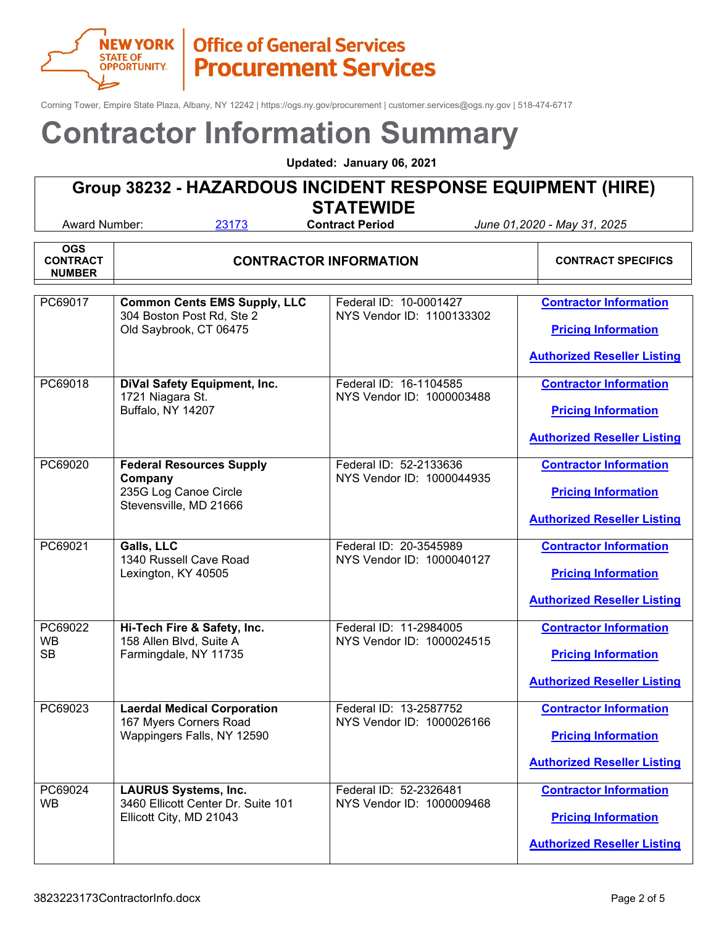

Corning Tower, Empire State Plaza, Albany, NY 12242 | https://ogs.ny.gov/procurement | customer.services@ogs.ny.gov | 518-474-6717

# **Contractor Information Summary**

**Updated: January 06, 2021**

# **Group 38232 - HAZARDOUS INCIDENT RESPONSE EQUIPMENT (HIRE)**

**STATEWIDE**<br>Contract Period

| <b>OGS</b><br><b>CONTRACT</b><br><b>NUMBER</b> | <b>CONTRACTOR INFORMATION</b>                                                                 |                                                     | <b>CONTRACT SPECIFICS</b>                                                                         |
|------------------------------------------------|-----------------------------------------------------------------------------------------------|-----------------------------------------------------|---------------------------------------------------------------------------------------------------|
| PC69017                                        | <b>Common Cents EMS Supply, LLC</b><br>304 Boston Post Rd, Ste 2<br>Old Saybrook, CT 06475    | Federal ID: 10-0001427<br>NYS Vendor ID: 1100133302 | <b>Contractor Information</b><br><b>Pricing Information</b><br><b>Authorized Reseller Listing</b> |
| PC69018                                        | <b>DiVal Safety Equipment, Inc.</b><br>1721 Niagara St.<br>Buffalo, NY 14207                  | Federal ID: 16-1104585<br>NYS Vendor ID: 1000003488 | <b>Contractor Information</b><br><b>Pricing Information</b><br><b>Authorized Reseller Listing</b> |
| PC69020                                        | <b>Federal Resources Supply</b><br>Company<br>235G Log Canoe Circle<br>Stevensville, MD 21666 | Federal ID: 52-2133636<br>NYS Vendor ID: 1000044935 | <b>Contractor Information</b><br><b>Pricing Information</b><br><b>Authorized Reseller Listing</b> |
| PC69021                                        | Galls, LLC<br>1340 Russell Cave Road<br>Lexington, KY 40505                                   | Federal ID: 20-3545989<br>NYS Vendor ID: 1000040127 | <b>Contractor Information</b><br><b>Pricing Information</b><br><b>Authorized Reseller Listing</b> |
| PC69022<br><b>WB</b><br><b>SB</b>              | Hi-Tech Fire & Safety, Inc.<br>158 Allen Blvd, Suite A<br>Farmingdale, NY 11735               | Federal ID: 11-2984005<br>NYS Vendor ID: 1000024515 | <b>Contractor Information</b><br><b>Pricing Information</b><br><b>Authorized Reseller Listing</b> |
| PC69023                                        | <b>Laerdal Medical Corporation</b><br>167 Myers Corners Road<br>Wappingers Falls, NY 12590    | Federal ID: 13-2587752<br>NYS Vendor ID: 1000026166 | <b>Contractor Information</b><br><b>Pricing Information</b><br><b>Authorized Reseller Listing</b> |
| PC69024<br><b>WB</b>                           | <b>LAURUS Systems, Inc.</b><br>3460 Ellicott Center Dr. Suite 101<br>Ellicott City, MD 21043  | Federal ID: 52-2326481<br>NYS Vendor ID: 1000009468 | <b>Contractor Information</b><br><b>Pricing Information</b><br><b>Authorized Reseller Listing</b> |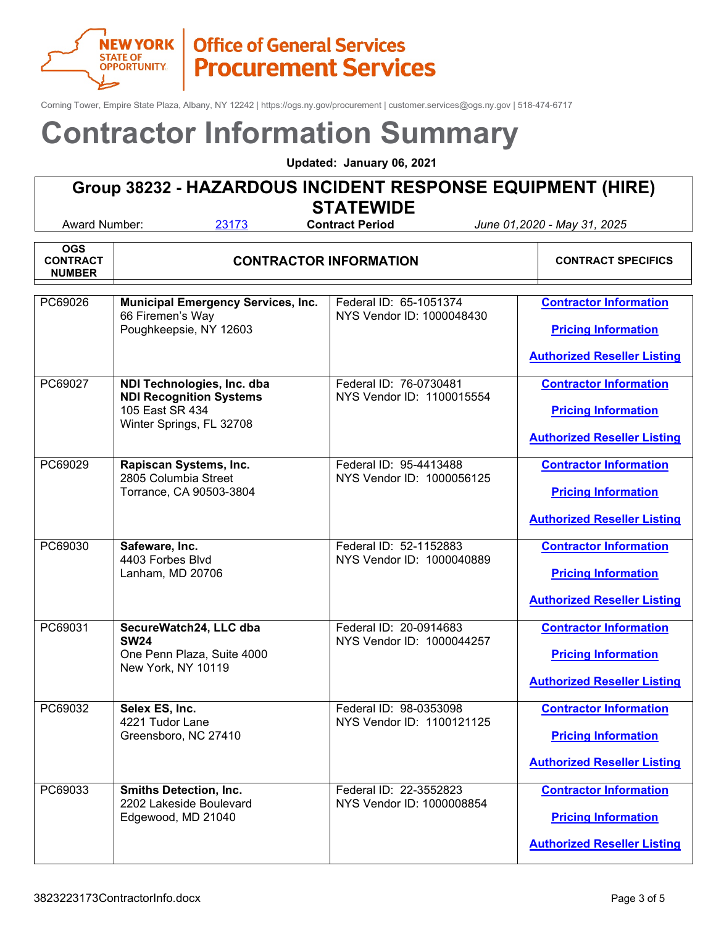

Corning Tower, Empire State Plaza, Albany, NY 12242 | https://ogs.ny.gov/procurement | customer.services@ogs.ny.gov | 518-474-6717

# **Contractor Information Summary**

**Updated: January 06, 2021**

# **Group 38232 - HAZARDOUS INCIDENT RESPONSE EQUIPMENT (HIRE)**

**STATEWIDE**<br>Contract Period

| <b>OGS</b><br><b>CONTRACT</b><br><b>NUMBER</b> | <b>CONTRACTOR INFORMATION</b>                                                                               |                                                     | <b>CONTRACT SPECIFICS</b>                                                                         |
|------------------------------------------------|-------------------------------------------------------------------------------------------------------------|-----------------------------------------------------|---------------------------------------------------------------------------------------------------|
| PC69026                                        | <b>Municipal Emergency Services, Inc.</b><br>66 Firemen's Way<br>Poughkeepsie, NY 12603                     | Federal ID: 65-1051374<br>NYS Vendor ID: 1000048430 | <b>Contractor Information</b><br><b>Pricing Information</b><br><b>Authorized Reseller Listing</b> |
| PC69027                                        | NDI Technologies, Inc. dba<br><b>NDI Recognition Systems</b><br>105 East SR 434<br>Winter Springs, FL 32708 | Federal ID: 76-0730481<br>NYS Vendor ID: 1100015554 | <b>Contractor Information</b><br><b>Pricing Information</b><br><b>Authorized Reseller Listing</b> |
| PC69029                                        | Rapiscan Systems, Inc.<br>2805 Columbia Street<br>Torrance, CA 90503-3804                                   | Federal ID: 95-4413488<br>NYS Vendor ID: 1000056125 | <b>Contractor Information</b><br><b>Pricing Information</b><br><b>Authorized Reseller Listing</b> |
| PC69030                                        | Safeware, Inc.<br>4403 Forbes Blvd<br>Lanham, MD 20706                                                      | Federal ID: 52-1152883<br>NYS Vendor ID: 1000040889 | <b>Contractor Information</b><br><b>Pricing Information</b><br><b>Authorized Reseller Listing</b> |
| PC69031                                        | SecureWatch24, LLC dba<br><b>SW24</b><br>One Penn Plaza, Suite 4000<br>New York, NY 10119                   | Federal ID: 20-0914683<br>NYS Vendor ID: 1000044257 | <b>Contractor Information</b><br><b>Pricing Information</b><br><b>Authorized Reseller Listing</b> |
| PC69032                                        | Selex ES, Inc.<br>4221 Tudor Lane<br>Greensboro, NC 27410                                                   | Federal ID: 98-0353098<br>NYS Vendor ID: 1100121125 | <b>Contractor Information</b><br><b>Pricing Information</b><br><b>Authorized Reseller Listing</b> |
| PC69033                                        | <b>Smiths Detection, Inc.</b><br>2202 Lakeside Boulevard<br>Edgewood, MD 21040                              | Federal ID: 22-3552823<br>NYS Vendor ID: 1000008854 | <b>Contractor Information</b><br><b>Pricing Information</b><br><b>Authorized Reseller Listing</b> |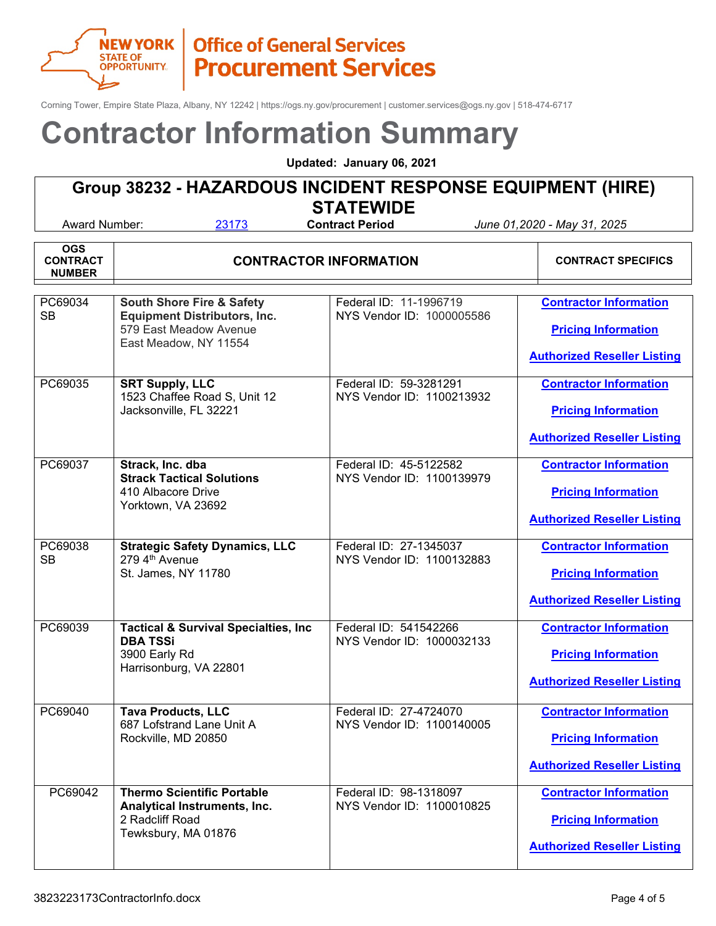

Corning Tower, Empire State Plaza, Albany, NY 12242 | https://ogs.ny.gov/procurement | customer.services@ogs.ny.gov | 518-474-6717

# **Contractor Information Summary**

**Updated: January 06, 2021**

# **Group 38232 - HAZARDOUS INCIDENT RESPONSE EQUIPMENT (HIRE)**

**STATEWIDE**<br>Contract Period

| <b>OGS</b><br><b>CONTRACT</b><br><b>NUMBER</b> | <b>CONTRACTOR INFORMATION</b>                                                                                                  |                                                     | <b>CONTRACT SPECIFICS</b>                                                                         |
|------------------------------------------------|--------------------------------------------------------------------------------------------------------------------------------|-----------------------------------------------------|---------------------------------------------------------------------------------------------------|
| PC69034<br><b>SB</b>                           | <b>South Shore Fire &amp; Safety</b><br><b>Equipment Distributors, Inc.</b><br>579 East Meadow Avenue<br>East Meadow, NY 11554 | Federal ID: 11-1996719<br>NYS Vendor ID: 1000005586 | <b>Contractor Information</b><br><b>Pricing Information</b><br><b>Authorized Reseller Listing</b> |
| PC69035                                        | <b>SRT Supply, LLC</b><br>1523 Chaffee Road S, Unit 12<br>Jacksonville, FL 32221                                               | Federal ID: 59-3281291<br>NYS Vendor ID: 1100213932 | <b>Contractor Information</b><br><b>Pricing Information</b><br><b>Authorized Reseller Listing</b> |
| PC69037                                        | Strack, Inc. dba<br><b>Strack Tactical Solutions</b><br>410 Albacore Drive<br>Yorktown, VA 23692                               | Federal ID: 45-5122582<br>NYS Vendor ID: 1100139979 | <b>Contractor Information</b><br><b>Pricing Information</b><br><b>Authorized Reseller Listing</b> |
| PC69038<br><b>SB</b>                           | <b>Strategic Safety Dynamics, LLC</b><br>279 4th Avenue<br>St. James, NY 11780                                                 | Federal ID: 27-1345037<br>NYS Vendor ID: 1100132883 | <b>Contractor Information</b><br><b>Pricing Information</b><br><b>Authorized Reseller Listing</b> |
| PC69039                                        | <b>Tactical &amp; Survival Specialties, Inc.</b><br><b>DBA TSSi</b><br>3900 Early Rd<br>Harrisonburg, VA 22801                 | Federal ID: 541542266<br>NYS Vendor ID: 1000032133  | <b>Contractor Information</b><br><b>Pricing Information</b><br><b>Authorized Reseller Listing</b> |
| PC69040                                        | <b>Tava Products, LLC</b><br>687 Lofstrand Lane Unit A<br>Rockville, MD 20850                                                  | Federal ID: 27-4724070<br>NYS Vendor ID: 1100140005 | <b>Contractor Information</b><br><b>Pricing Information</b><br><b>Authorized Reseller Listing</b> |
| PC69042                                        | <b>Thermo Scientific Portable</b><br>Analytical Instruments, Inc.<br>2 Radcliff Road<br>Tewksbury, MA 01876                    | Federal ID: 98-1318097<br>NYS Vendor ID: 1100010825 | <b>Contractor Information</b><br><b>Pricing Information</b><br><b>Authorized Reseller Listing</b> |